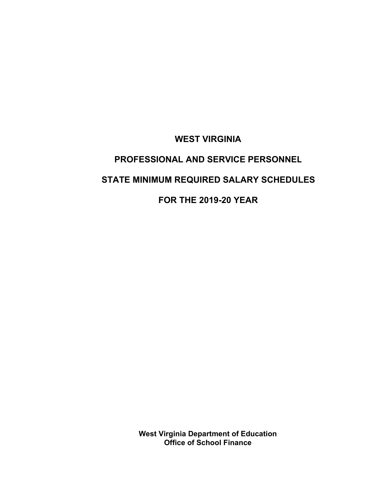**WEST VIRGINIA**

# **PROFESSIONAL AND SERVICE PERSONNEL STATE MINIMUM REQUIRED SALARY SCHEDULES**

**FOR THE 2019-20 YEAR**

**West Virginia Department of Education Office of School Finance**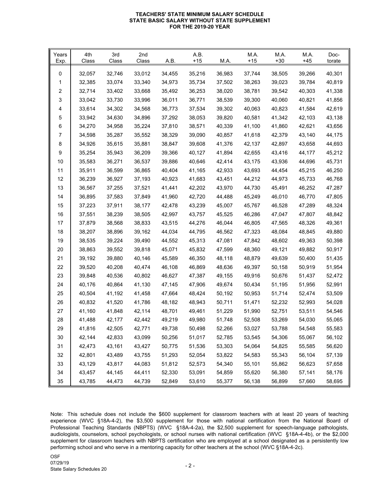#### **TEACHERS' STATE MINIMUM SALARY SCHEDULE STATE BASIC SALARY WITHOUT STATE SUPPLEMENT FOR THE 2019-20 YEAR**

| Years<br>Exp. | 4th<br>Class | 3rd<br>Class | 2nd<br>Class | A.B.   | A.B.<br>$+15$ | M.A.   | M.A.<br>$+15$ | M.A.<br>$+30$ | M.A.<br>$+45$ | Doc-<br>torate |
|---------------|--------------|--------------|--------------|--------|---------------|--------|---------------|---------------|---------------|----------------|
| 0             | 32,057       | 32,746       | 33,012       | 34,455 | 35,216        | 36,983 | 37,744        | 38,505        | 39,266        | 40,301         |
| 1             | 32,385       | 33,074       | 33,340       | 34,973 | 35,734        | 37,502 | 38,263        | 39,023        | 39,784        | 40,819         |
| 2             | 32,714       | 33,402       | 33,668       | 35,492 | 36,253        | 38,020 | 38,781        | 39,542        | 40,303        | 41,338         |
| 3             | 33,042       | 33,730       | 33,996       | 36,011 | 36,771        | 38,539 | 39,300        | 40,060        | 40,821        | 41,856         |
| 4             | 33,614       | 34,302       | 34,568       | 36,773 | 37,534        | 39,302 | 40,063        | 40,823        | 41,584        | 42,619         |
| 5             | 33,942       | 34,630       | 34,896       | 37,292 | 38,053        | 39,820 | 40,581        | 41,342        | 42,103        | 43,138         |
| 6             | 34,270       | 34,958       | 35,224       | 37,810 | 38,571        | 40,339 | 41,100        | 41,860        | 42,621        | 43,656         |
| 7             | 34,598       | 35,287       | 35,552       | 38,329 | 39,090        | 40,857 | 41,618        | 42,379        | 43,140        | 44,175         |
| 8             | 34,926       | 35,615       | 35,881       | 38,847 | 39,608        | 41,376 | 42,137        | 42,897        | 43,658        | 44,693         |
| 9             | 35,254       | 35,943       | 36,209       | 39,366 | 40,127        | 41,894 | 42,655        | 43,416        | 44,177        | 45,212         |
| 10            | 35,583       | 36,271       | 36,537       | 39,886 | 40,646        | 42,414 | 43,175        | 43,936        | 44,696        | 45,731         |
| 11            | 35,911       | 36,599       | 36,865       | 40,404 | 41,165        | 42,933 | 43,693        | 44,454        | 45,215        | 46,250         |
| 12            | 36,239       | 36,927       | 37,193       | 40,923 | 41,683        | 43,451 | 44,212        | 44,973        | 45,733        | 46,768         |
| 13            | 36,567       | 37,255       | 37,521       | 41,441 | 42,202        | 43,970 | 44,730        | 45,491        | 46,252        | 47,287         |
| 14            | 36,895       | 37,583       | 37,849       | 41,960 | 42,720        | 44,488 | 45,249        | 46,010        | 46,770        | 47,805         |
| 15            | 37,223       | 37,911       | 38,177       | 42,478 | 43,239        | 45,007 | 45,767        | 46,528        | 47,289        | 48,324         |
| 16            | 37,551       | 38,239       | 38,505       | 42,997 | 43,757        | 45,525 | 46,286        | 47,047        | 47,807        | 48,842         |
| 17            | 37,879       | 38,568       | 38,833       | 43,515 | 44,276        | 46,044 | 46,805        | 47,565        | 48,326        | 49,361         |
| 18            | 38,207       | 38,896       | 39,162       | 44,034 | 44,795        | 46,562 | 47,323        | 48,084        | 48,845        | 49,880         |
| 19            | 38,535       | 39,224       | 39,490       | 44,552 | 45,313        | 47,081 | 47,842        | 48,602        | 49,363        | 50,398         |
| 20            | 38,863       | 39,552       | 39,818       | 45,071 | 45,832        | 47,599 | 48,360        | 49,121        | 49,882        | 50,917         |
| 21            | 39,192       | 39,880       | 40,146       | 45,589 | 46,350        | 48,118 | 48,879        | 49,639        | 50,400        | 51,435         |
| 22            | 39,520       | 40,208       | 40,474       | 46,108 | 46,869        | 48,636 | 49,397        | 50,158        | 50,919        | 51,954         |
| 23            | 39,848       | 40,536       | 40,802       | 46,627 | 47,387        | 49,155 | 49,916        | 50,676        | 51,437        | 52,472         |
| 24            | 40,176       | 40,864       | 41,130       | 47,145 | 47,906        | 49,674 | 50,434        | 51,195        | 51,956        | 52,991         |
| 25            | 40,504       | 41,192       | 41,458       | 47,664 | 48,424        | 50,192 | 50,953        | 51,714        | 52,474        | 53,509         |
| 26            | 40,832       | 41,520       | 41,786       | 48,182 | 48,943        | 50,711 | 51,471        | 52,232        | 52,993        | 54,028         |
| 27            | 41,160       | 41,848       | 42,114       | 48,701 | 49,461        | 51,229 | 51,990        | 52,751        | 53,511        | 54,546         |
| 28            | 41,488       | 42,177       | 42,442       | 49,219 | 49,980        | 51,748 | 52,508        | 53,269        | 54,030        | 55,065         |
| 29            | 41,816       | 42,505       | 42,771       | 49,738 | 50,498        | 52,266 | 53,027        | 53,788        | 54,548        | 55,583         |
| $30\,$        | 42,144       | 42,833       | 43,099       | 50,256 | 51,017        | 52,785 | 53,545        | 54,306        | 55,067        | 56,102         |
| 31            | 42,473       | 43,161       | 43,427       | 50,775 | 51,536        | 53,303 | 54,064        | 54,825        | 55,585        | 56,620         |
| 32            | 42,801       | 43,489       | 43,755       | 51,293 | 52,054        | 53,822 | 54,583        | 55,343        | 56,104        | 57,139         |
| 33            | 43,129       | 43,817       | 44,083       | 51,812 | 52,573        | 54,340 | 55,101        | 55,862        | 56,623        | 57,658         |
| 34            | 43,457       | 44,145       | 44,411       | 52,330 | 53,091        | 54,859 | 55,620        | 56,380        | 57,141        | 58,176         |
| 35            | 43,785       | 44,473       | 44,739       | 52,849 | 53,610        | 55,377 | 56,138        | 56,899        | 57,660        | 58,695         |

Note: This schedule does not include the \$600 supplement for classroom teachers with at least 20 years of teaching experience (WVC §18A-4-2), the \$3,500 supplement for those with national certification from the National Board of Professional Teaching Standards (NBPTS) (WVC §18A-4-2a), the \$2,500 supplement for speech-language pathologists, audiologists, counselors, school psychologists, or school nurses with national certification (WVC §18A-4-4b), or the \$2,000 supplement for classroom teachers with NBPTS certification who are employed at a school designated as a persistently low performing school and who serve in a mentoring capacity for other teachers at the school (WVC §18A-4-2c).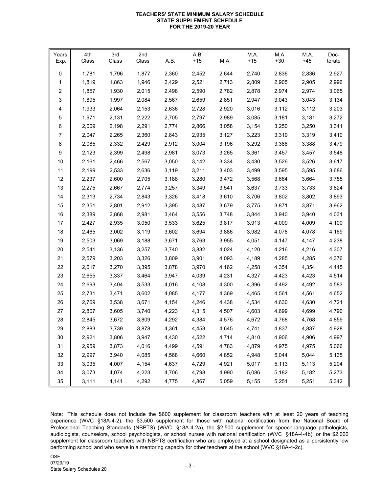## **TEACHERS' STATE MINIMUM SALARY SCHEDULE STATE SUPPLEMENT SCHEDULE FOR THE 2019-20 YEAR**

| Years<br>Exp. | 4th<br>Class | 3rd<br>Class | 2nd<br>Class | A.B.  | A.B.<br>$+15$ | M.A.  | M.A.<br>$+15$ | M.A.<br>$+30$ | M.A.<br>$+45$ | Doc-<br>torate |
|---------------|--------------|--------------|--------------|-------|---------------|-------|---------------|---------------|---------------|----------------|
| 0             | 1,781        | 1,796        | 1,877        | 2,360 | 2,452         | 2,644 | 2,740         | 2,836         | 2,836         | 2,927          |
| 1             | 1,819        | 1,863        | 1,946        | 2,429 | 2,521         | 2,713 | 2,809         | 2,905         | 2,905         | 2,996          |
| 2             | 1,857        | 1,930        | 2,015        | 2,498 | 2,590         | 2,782 | 2,878         | 2,974         | 2,974         | 3,065          |
| 3             | 1,895        | 1,997        | 2,084        | 2,567 | 2,659         | 2,851 | 2,947         | 3,043         | 3,043         | 3,134          |
| 4             | 1,933        | 2,064        | 2,153        | 2,636 | 2,728         | 2,920 | 3,016         | 3,112         | 3,112         | 3,203          |
| 5             | 1,971        | 2,131        | 2,222        | 2,705 | 2,797         | 2,989 | 3,085         | 3,181         | 3,181         | 3,272          |
| 6             | 2,009        | 2,198        | 2,291        | 2,774 | 2,866         | 3,058 | 3,154         | 3,250         | 3,250         | 3,341          |
| 7             | 2,047        | 2,265        | 2,360        | 2,843 | 2,935         | 3,127 | 3,223         | 3,319         | 3,319         | 3,410          |
| 8             | 2,085        | 2,332        | 2,429        | 2,912 | 3,004         | 3,196 | 3,292         | 3,388         | 3,388         | 3,479          |
| 9             | 2,123        | 2,399        | 2,498        | 2,981 | 3,073         | 3,265 | 3,361         | 3,457         | 3,457         | 3,548          |
| 10            | 2,161        | 2,466        | 2,567        | 3,050 | 3,142         | 3,334 | 3,430         | 3,526         | 3,526         | 3,617          |
| 11            | 2,199        | 2,533        | 2,636        | 3,119 | 3,211         | 3,403 | 3,499         | 3,595         | 3,595         | 3,686          |
| 12            | 2,237        | 2,600        | 2,705        | 3,188 | 3,280         | 3,472 | 3,568         | 3,664         | 3,664         | 3,755          |
| 13            | 2,275        | 2,667        | 2,774        | 3,257 | 3,349         | 3,541 | 3,637         | 3,733         | 3,733         | 3,824          |
| 14            | 2,313        | 2,734        | 2,843        | 3,326 | 3,418         | 3,610 | 3,706         | 3,802         | 3,802         | 3,893          |
| 15            | 2,351        | 2,801        | 2,912        | 3,395 | 3,487         | 3,679 | 3,775         | 3,871         | 3,871         | 3,962          |
| 16            | 2,389        | 2,868        | 2,981        | 3,464 | 3,556         | 3,748 | 3,844         | 3,940         | 3,940         | 4,031          |
| 17            | 2,427        | 2,935        | 3,050        | 3,533 | 3,625         | 3,817 | 3,913         | 4,009         | 4,009         | 4,100          |
| 18            | 2,465        | 3,002        | 3,119        | 3,602 | 3,694         | 3,886 | 3,982         | 4,078         | 4,078         | 4,169          |
| 19            | 2,503        | 3,069        | 3,188        | 3,671 | 3,763         | 3,955 | 4,051         | 4,147         | 4,147         | 4,238          |
| 20            | 2,541        | 3,136        | 3,257        | 3,740 | 3,832         | 4,024 | 4,120         | 4,216         | 4,216         | 4,307          |
| 21            | 2,579        | 3,203        | 3,326        | 3,809 | 3,901         | 4,093 | 4,189         | 4,285         | 4,285         | 4,376          |
| 22            | 2,617        | 3,270        | 3,395        | 3,878 | 3,970         | 4,162 | 4,258         | 4,354         | 4,354         | 4,445          |
| 23            | 2,655        | 3,337        | 3,464        | 3,947 | 4,039         | 4,231 | 4,327         | 4,423         | 4,423         | 4,514          |
| 24            | 2,693        | 3,404        | 3,533        | 4,016 | 4,108         | 4,300 | 4,396         | 4,492         | 4,492         | 4,583          |
| 25            | 2,731        | 3,471        | 3,602        | 4,085 | 4,177         | 4,369 | 4,465         | 4,561         | 4,561         | 4,652          |
| 26            | 2,769        | 3,538        | 3,671        | 4,154 | 4,246         | 4,438 | 4,534         | 4,630         | 4,630         | 4,721          |
| 27            | 2,807        | 3,605        | 3,740        | 4,223 | 4,315         | 4,507 | 4,603         | 4,699         | 4,699         | 4,790          |
| 28            | 2,845        | 3,672        | 3,809        | 4,292 | 4,384         | 4,576 | 4,672         | 4,768         | 4,768         | 4,859          |
| 29            | 2,883        | 3,739        | 3,878        | 4,361 | 4,453         | 4,645 | 4,741         | 4,837         | 4,837         | 4,928          |
| 30            | 2,921        | 3,806        | 3,947        | 4,430 | 4,522         | 4,714 | 4,810         | 4,906         | 4,906         | 4,997          |
| 31            | 2,959        | 3,873        | 4,016        | 4,499 | 4,591         | 4,783 | 4,879         | 4,975         | 4,975         | 5,066          |
| 32            | 2,997        | 3,940        | 4,085        | 4,568 | 4,660         | 4,852 | 4,948         | 5,044         | 5,044         | 5,135          |
| 33            | 3,035        | 4,007        | 4,154        | 4,637 | 4,729         | 4,921 | 5,017         | 5,113         | 5,113         | 5,204          |
| 34            | 3,073        | 4,074        | 4,223        | 4,706 | 4,798         | 4,990 | 5,086         | 5,182         | 5,182         | 5,273          |
| 35            | 3,111        | 4,141        | 4,292        | 4,775 | 4,867         | 5,059 | 5,155         | 5,251         | 5,251         | 5,342          |

Note: This schedule does not include the \$600 supplement for classroom teachers with at least 20 years of teaching experience (WVC §18A-4-2), the \$3,500 supplement for those with national certification from the National Board of Professional Teaching Standards (NBPTS) (WVC §18A-4-2a), the \$2,500 supplement for speech-language pathologists, audiologists, counselors, school psychologists, or school nurses with national certification (WVC §18A-4-4b), or the \$2,000 supplement for classroom teachers with NBPTS certification who are employed at a school designated as a persistently low performing school and who serve in a mentoring capacity for other teachers at the school (WVC §18A-4-2c).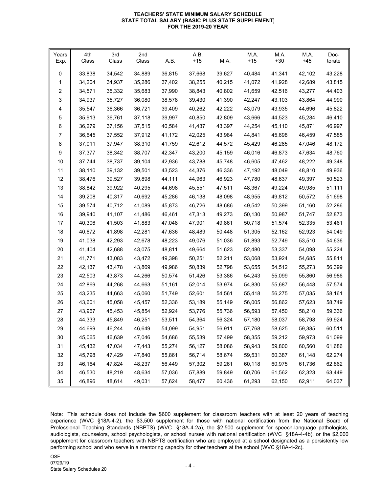#### **TEACHERS' STATE MINIMUM SALARY SCHEDULE STATE TOTAL SALARY (BASIC PLUS STATE SUPPLEMENT) FOR THE 2019-20 YEAR**

| Years<br>Exp. | 4th<br>Class | 3rd<br>Class | 2nd<br>Class | A.B.   | A.B.<br>$+15$ | M.A.   | M.A.<br>$+15$ | M.A.<br>$+30$ | M.A.<br>$+45$ | Doc-<br>torate |
|---------------|--------------|--------------|--------------|--------|---------------|--------|---------------|---------------|---------------|----------------|
| 0             | 33,838       | 34,542       | 34,889       | 36,815 | 37,668        | 39,627 | 40,484        | 41,341        | 42,102        | 43,228         |
| 1             | 34,204       | 34,937       | 35,286       | 37,402 | 38,255        | 40,215 | 41,072        | 41,928        | 42,689        | 43,815         |
| 2             | 34,571       | 35,332       | 35,683       | 37,990 | 38,843        | 40,802 | 41,659        | 42,516        | 43,277        | 44,403         |
| 3             | 34,937       | 35,727       | 36,080       | 38,578 | 39,430        | 41,390 | 42,247        | 43,103        | 43,864        | 44,990         |
| 4             | 35,547       | 36,366       | 36,721       | 39,409 | 40,262        | 42,222 | 43,079        | 43,935        | 44,696        | 45,822         |
| 5             | 35,913       | 36,761       | 37,118       | 39,997 | 40,850        | 42,809 | 43,666        | 44,523        | 45,284        | 46,410         |
| 6             | 36,279       | 37,156       | 37,515       | 40,584 | 41,437        | 43,397 | 44,254        | 45,110        | 45,871        | 46,997         |
| 7             | 36,645       | 37,552       | 37,912       | 41,172 | 42,025        | 43,984 | 44,841        | 45,698        | 46,459        | 47,585         |
| 8             | 37,011       | 37,947       | 38,310       | 41,759 | 42,612        | 44,572 | 45,429        | 46,285        | 47,046        | 48,172         |
| 9             | 37,377       | 38,342       | 38,707       | 42,347 | 43,200        | 45,159 | 46,016        | 46,873        | 47,634        | 48,760         |
| 10            | 37,744       | 38,737       | 39,104       | 42,936 | 43,788        | 45,748 | 46,605        | 47,462        | 48,222        | 49,348         |
| 11            | 38,110       | 39,132       | 39,501       | 43,523 | 44,376        | 46,336 | 47,192        | 48,049        | 48,810        | 49,936         |
| 12            | 38,476       | 39,527       | 39,898       | 44,111 | 44,963        | 46,923 | 47,780        | 48,637        | 49,397        | 50,523         |
| 13            | 38,842       | 39,922       | 40,295       | 44,698 | 45,551        | 47,511 | 48,367        | 49,224        | 49,985        | 51,111         |
| 14            | 39,208       | 40,317       | 40,692       | 45,286 | 46,138        | 48,098 | 48,955        | 49,812        | 50,572        | 51,698         |
| 15            | 39,574       | 40,712       | 41,089       | 45,873 | 46,726        | 48,686 | 49,542        | 50,399        | 51,160        | 52,286         |
| 16            | 39,940       | 41,107       | 41,486       | 46,461 | 47,313        | 49,273 | 50,130        | 50,987        | 51,747        | 52,873         |
| 17            | 40,306       | 41,503       | 41,883       | 47,048 | 47,901        | 49,861 | 50,718        | 51,574        | 52,335        | 53,461         |
| 18            | 40,672       | 41,898       | 42,281       | 47,636 | 48,489        | 50,448 | 51,305        | 52,162        | 52,923        | 54,049         |
| 19            | 41,038       | 42,293       | 42,678       | 48,223 | 49,076        | 51,036 | 51,893        | 52,749        | 53,510        | 54,636         |
| 20            | 41,404       | 42,688       | 43,075       | 48,811 | 49,664        | 51,623 | 52,480        | 53,337        | 54,098        | 55,224         |
| 21            | 41,771       | 43,083       | 43,472       | 49,398 | 50,251        | 52,211 | 53,068        | 53,924        | 54,685        | 55,811         |
| 22            | 42,137       | 43,478       | 43,869       | 49,986 | 50,839        | 52,798 | 53,655        | 54,512        | 55,273        | 56,399         |
| 23            | 42,503       | 43,873       | 44,266       | 50,574 | 51,426        | 53,386 | 54,243        | 55,099        | 55,860        | 56,986         |
| 24            | 42,869       | 44,268       | 44,663       | 51,161 | 52,014        | 53,974 | 54,830        | 55,687        | 56,448        | 57,574         |
| 25            | 43,235       | 44,663       | 45,060       | 51,749 | 52,601        | 54,561 | 55,418        | 56,275        | 57,035        | 58,161         |
| 26            | 43,601       | 45,058       | 45,457       | 52,336 | 53,189        | 55,149 | 56,005        | 56,862        | 57,623        | 58,749         |
| 27            | 43,967       | 45,453       | 45,854       | 52,924 | 53,776        | 55,736 | 56,593        | 57,450        | 58,210        | 59,336         |
| 28            | 44,333       | 45,849       | 46,251       | 53,511 | 54,364        | 56,324 | 57,180        | 58,037        | 58,798        | 59,924         |
| 29            | 44,699       | 46,244       | 46,649       | 54,099 | 54,951        | 56,911 | 57,768        | 58,625        | 59,385        | 60,511         |
| $30\,$        | 45,065       | 46,639       | 47,046       | 54,686 | 55,539        | 57,499 | 58,355        | 59,212        | 59,973        | 61,099         |
| 31            | 45,432       | 47,034       | 47,443       | 55,274 | 56,127        | 58,086 | 58,943        | 59,800        | 60,560        | 61,686         |
| 32            | 45,798       | 47,429       | 47,840       | 55,861 | 56,714        | 58,674 | 59,531        | 60,387        | 61,148        | 62,274         |
| 33            | 46,164       | 47,824       | 48,237       | 56,449 | 57,302        | 59,261 | 60,118        | 60,975        | 61,736        | 62,862         |
| 34            | 46,530       | 48,219       | 48,634       | 57,036 | 57,889        | 59,849 | 60,706        | 61,562        | 62,323        | 63,449         |
| 35            | 46,896       | 48,614       | 49,031       | 57,624 | 58,477        | 60,436 | 61,293        | 62,150        | 62,911        | 64,037         |

Note: This schedule does not include the \$600 supplement for classroom teachers with at least 20 years of teaching experience (WVC §18A-4-2), the \$3,500 supplement for those with national certification from the National Board of Professional Teaching Standards (NBPTS) (WVC §18A-4-2a), the \$2,500 supplement for speech-language pathologists, audiologists, counselors, school psychologists, or school nurses with national certification (WVC §18A-4-4b), or the \$2,000 supplement for classroom teachers with NBPTS certification who are employed at a school designated as a persistently low performing school and who serve in a mentoring capacity for other teachers at the school (WVC §18A-4-2c).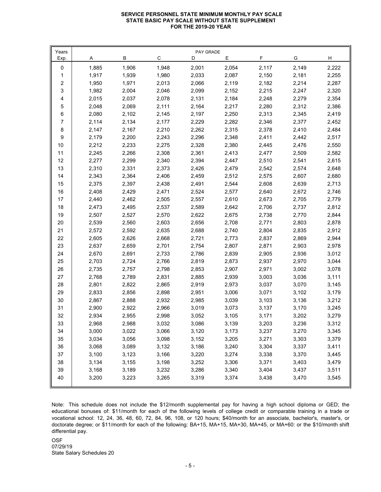#### **SERVICE PERSONNEL STATE MINIMUM MONTHLY PAY SCALE STATE BASIC PAY SCALE WITHOUT STATE SUPPLEMENT FOR THE 2019-20 YEAR**

| C<br>F.<br>В<br>E.<br>G<br>H<br>Exp.<br>A<br>D<br>2,001<br>2,222<br>1,885<br>1,906<br>1,948<br>2,054<br>2,117<br>2,149<br>0<br>2,033<br>1,917<br>1,939<br>1,980<br>2,087<br>2,150<br>2,181<br>2,255<br>1<br>1,971<br>2,013<br>2,066<br>2,119<br>2,214<br>2<br>1,950<br>2,182<br>2,287<br>3<br>2,004<br>2,099<br>1,982<br>2,046<br>2,152<br>2,215<br>2,247<br>2,320<br>2,015<br>2,037<br>2,078<br>2,131<br>2,184<br>2,248<br>2,279<br>4<br>2,354<br>5<br>2,111<br>2,164<br>2,217<br>2,312<br>2,048<br>2,069<br>2,280<br>2,386<br>6<br>2,250<br>2,080<br>2,102<br>2,145<br>2,197<br>2,313<br>2,345<br>2,419<br>$\overline{7}$<br>2,134<br>2,229<br>2,282<br>2,114<br>2,177<br>2,346<br>2,377<br>2,452<br>8<br>2,262<br>2,410<br>2,147<br>2,167<br>2,210<br>2,315<br>2,378<br>2,484<br>$\boldsymbol{9}$<br>2,348<br>2,442<br>2,179<br>2,200<br>2,243<br>2,296<br>2,411<br>2,517<br>$10$<br>2,212<br>2,233<br>2,275<br>2,328<br>2,380<br>2,445<br>2,476<br>2,550<br>2,266<br>2,308<br>2,361<br>2,509<br>11<br>2,245<br>2,413<br>2,477<br>2,582<br>12<br>2,394<br>2,277<br>2,299<br>2,340<br>2,447<br>2,510<br>2,541<br>2,615<br>2,331<br>2,373<br>2,479<br>13<br>2,310<br>2,426<br>2,542<br>2,574<br>2,648<br>14<br>2,343<br>2,364<br>2,406<br>2,459<br>2,512<br>2,575<br>2,607<br>2,680<br>2,397<br>2,438<br>2,491<br>2,544<br>2,639<br>15<br>2,375<br>2,608<br>2,713<br>2,524<br>2,577<br>2,672<br>$16\,$<br>2,408<br>2,429<br>2,471<br>2,640<br>2,746<br>2,557<br>$17\,$<br>2,440<br>2,462<br>2,505<br>2,610<br>2,673<br>2,705<br>2,779<br>2,537<br>2,589<br>2,642<br>$18$<br>2,473<br>2,495<br>2,706<br>2,737<br>2,812<br>2,622<br>2,770<br>19<br>2,507<br>2,527<br>2,570<br>2,675<br>2,738<br>2,844<br>2,708<br>$20\,$<br>2,539<br>2,560<br>2,603<br>2,656<br>2,771<br>2,803<br>2,878<br>21<br>2,572<br>2,592<br>2,635<br>2,688<br>2,740<br>2,804<br>2,835<br>2,912 | Years |       |       |       | PAY GRADE |       |       |       |       |
|----------------------------------------------------------------------------------------------------------------------------------------------------------------------------------------------------------------------------------------------------------------------------------------------------------------------------------------------------------------------------------------------------------------------------------------------------------------------------------------------------------------------------------------------------------------------------------------------------------------------------------------------------------------------------------------------------------------------------------------------------------------------------------------------------------------------------------------------------------------------------------------------------------------------------------------------------------------------------------------------------------------------------------------------------------------------------------------------------------------------------------------------------------------------------------------------------------------------------------------------------------------------------------------------------------------------------------------------------------------------------------------------------------------------------------------------------------------------------------------------------------------------------------------------------------------------------------------------------------------------------------------------------------------------------------------------------------------------------------------------------------------------------------------------------------------------------------------------------------------------|-------|-------|-------|-------|-----------|-------|-------|-------|-------|
|                                                                                                                                                                                                                                                                                                                                                                                                                                                                                                                                                                                                                                                                                                                                                                                                                                                                                                                                                                                                                                                                                                                                                                                                                                                                                                                                                                                                                                                                                                                                                                                                                                                                                                                                                                                                                                                                      |       |       |       |       |           |       |       |       |       |
|                                                                                                                                                                                                                                                                                                                                                                                                                                                                                                                                                                                                                                                                                                                                                                                                                                                                                                                                                                                                                                                                                                                                                                                                                                                                                                                                                                                                                                                                                                                                                                                                                                                                                                                                                                                                                                                                      |       |       |       |       |           |       |       |       |       |
|                                                                                                                                                                                                                                                                                                                                                                                                                                                                                                                                                                                                                                                                                                                                                                                                                                                                                                                                                                                                                                                                                                                                                                                                                                                                                                                                                                                                                                                                                                                                                                                                                                                                                                                                                                                                                                                                      |       |       |       |       |           |       |       |       |       |
|                                                                                                                                                                                                                                                                                                                                                                                                                                                                                                                                                                                                                                                                                                                                                                                                                                                                                                                                                                                                                                                                                                                                                                                                                                                                                                                                                                                                                                                                                                                                                                                                                                                                                                                                                                                                                                                                      |       |       |       |       |           |       |       |       |       |
|                                                                                                                                                                                                                                                                                                                                                                                                                                                                                                                                                                                                                                                                                                                                                                                                                                                                                                                                                                                                                                                                                                                                                                                                                                                                                                                                                                                                                                                                                                                                                                                                                                                                                                                                                                                                                                                                      |       |       |       |       |           |       |       |       |       |
|                                                                                                                                                                                                                                                                                                                                                                                                                                                                                                                                                                                                                                                                                                                                                                                                                                                                                                                                                                                                                                                                                                                                                                                                                                                                                                                                                                                                                                                                                                                                                                                                                                                                                                                                                                                                                                                                      |       |       |       |       |           |       |       |       |       |
|                                                                                                                                                                                                                                                                                                                                                                                                                                                                                                                                                                                                                                                                                                                                                                                                                                                                                                                                                                                                                                                                                                                                                                                                                                                                                                                                                                                                                                                                                                                                                                                                                                                                                                                                                                                                                                                                      |       |       |       |       |           |       |       |       |       |
|                                                                                                                                                                                                                                                                                                                                                                                                                                                                                                                                                                                                                                                                                                                                                                                                                                                                                                                                                                                                                                                                                                                                                                                                                                                                                                                                                                                                                                                                                                                                                                                                                                                                                                                                                                                                                                                                      |       |       |       |       |           |       |       |       |       |
|                                                                                                                                                                                                                                                                                                                                                                                                                                                                                                                                                                                                                                                                                                                                                                                                                                                                                                                                                                                                                                                                                                                                                                                                                                                                                                                                                                                                                                                                                                                                                                                                                                                                                                                                                                                                                                                                      |       |       |       |       |           |       |       |       |       |
|                                                                                                                                                                                                                                                                                                                                                                                                                                                                                                                                                                                                                                                                                                                                                                                                                                                                                                                                                                                                                                                                                                                                                                                                                                                                                                                                                                                                                                                                                                                                                                                                                                                                                                                                                                                                                                                                      |       |       |       |       |           |       |       |       |       |
|                                                                                                                                                                                                                                                                                                                                                                                                                                                                                                                                                                                                                                                                                                                                                                                                                                                                                                                                                                                                                                                                                                                                                                                                                                                                                                                                                                                                                                                                                                                                                                                                                                                                                                                                                                                                                                                                      |       |       |       |       |           |       |       |       |       |
|                                                                                                                                                                                                                                                                                                                                                                                                                                                                                                                                                                                                                                                                                                                                                                                                                                                                                                                                                                                                                                                                                                                                                                                                                                                                                                                                                                                                                                                                                                                                                                                                                                                                                                                                                                                                                                                                      |       |       |       |       |           |       |       |       |       |
|                                                                                                                                                                                                                                                                                                                                                                                                                                                                                                                                                                                                                                                                                                                                                                                                                                                                                                                                                                                                                                                                                                                                                                                                                                                                                                                                                                                                                                                                                                                                                                                                                                                                                                                                                                                                                                                                      |       |       |       |       |           |       |       |       |       |
|                                                                                                                                                                                                                                                                                                                                                                                                                                                                                                                                                                                                                                                                                                                                                                                                                                                                                                                                                                                                                                                                                                                                                                                                                                                                                                                                                                                                                                                                                                                                                                                                                                                                                                                                                                                                                                                                      |       |       |       |       |           |       |       |       |       |
|                                                                                                                                                                                                                                                                                                                                                                                                                                                                                                                                                                                                                                                                                                                                                                                                                                                                                                                                                                                                                                                                                                                                                                                                                                                                                                                                                                                                                                                                                                                                                                                                                                                                                                                                                                                                                                                                      |       |       |       |       |           |       |       |       |       |
|                                                                                                                                                                                                                                                                                                                                                                                                                                                                                                                                                                                                                                                                                                                                                                                                                                                                                                                                                                                                                                                                                                                                                                                                                                                                                                                                                                                                                                                                                                                                                                                                                                                                                                                                                                                                                                                                      |       |       |       |       |           |       |       |       |       |
|                                                                                                                                                                                                                                                                                                                                                                                                                                                                                                                                                                                                                                                                                                                                                                                                                                                                                                                                                                                                                                                                                                                                                                                                                                                                                                                                                                                                                                                                                                                                                                                                                                                                                                                                                                                                                                                                      |       |       |       |       |           |       |       |       |       |
|                                                                                                                                                                                                                                                                                                                                                                                                                                                                                                                                                                                                                                                                                                                                                                                                                                                                                                                                                                                                                                                                                                                                                                                                                                                                                                                                                                                                                                                                                                                                                                                                                                                                                                                                                                                                                                                                      |       |       |       |       |           |       |       |       |       |
|                                                                                                                                                                                                                                                                                                                                                                                                                                                                                                                                                                                                                                                                                                                                                                                                                                                                                                                                                                                                                                                                                                                                                                                                                                                                                                                                                                                                                                                                                                                                                                                                                                                                                                                                                                                                                                                                      |       |       |       |       |           |       |       |       |       |
|                                                                                                                                                                                                                                                                                                                                                                                                                                                                                                                                                                                                                                                                                                                                                                                                                                                                                                                                                                                                                                                                                                                                                                                                                                                                                                                                                                                                                                                                                                                                                                                                                                                                                                                                                                                                                                                                      |       |       |       |       |           |       |       |       |       |
|                                                                                                                                                                                                                                                                                                                                                                                                                                                                                                                                                                                                                                                                                                                                                                                                                                                                                                                                                                                                                                                                                                                                                                                                                                                                                                                                                                                                                                                                                                                                                                                                                                                                                                                                                                                                                                                                      |       |       |       |       |           |       |       |       |       |
|                                                                                                                                                                                                                                                                                                                                                                                                                                                                                                                                                                                                                                                                                                                                                                                                                                                                                                                                                                                                                                                                                                                                                                                                                                                                                                                                                                                                                                                                                                                                                                                                                                                                                                                                                                                                                                                                      |       |       |       |       |           |       |       |       |       |
|                                                                                                                                                                                                                                                                                                                                                                                                                                                                                                                                                                                                                                                                                                                                                                                                                                                                                                                                                                                                                                                                                                                                                                                                                                                                                                                                                                                                                                                                                                                                                                                                                                                                                                                                                                                                                                                                      |       |       |       |       |           |       |       |       |       |
|                                                                                                                                                                                                                                                                                                                                                                                                                                                                                                                                                                                                                                                                                                                                                                                                                                                                                                                                                                                                                                                                                                                                                                                                                                                                                                                                                                                                                                                                                                                                                                                                                                                                                                                                                                                                                                                                      | 22    | 2,605 | 2,626 | 2,668 | 2,721     | 2,773 | 2,837 | 2,869 | 2,944 |
| 23<br>2,637<br>2,659<br>2,701<br>2,754<br>2,807<br>2,871<br>2,903<br>2,978                                                                                                                                                                                                                                                                                                                                                                                                                                                                                                                                                                                                                                                                                                                                                                                                                                                                                                                                                                                                                                                                                                                                                                                                                                                                                                                                                                                                                                                                                                                                                                                                                                                                                                                                                                                           |       |       |       |       |           |       |       |       |       |
| 2,786<br>24<br>2,670<br>2,691<br>2,733<br>2,839<br>2,905<br>2,936<br>3,012                                                                                                                                                                                                                                                                                                                                                                                                                                                                                                                                                                                                                                                                                                                                                                                                                                                                                                                                                                                                                                                                                                                                                                                                                                                                                                                                                                                                                                                                                                                                                                                                                                                                                                                                                                                           |       |       |       |       |           |       |       |       |       |
| 2,766<br>2,819<br>2,873<br>2,970<br>3,044<br>25<br>2,703<br>2,724<br>2,937                                                                                                                                                                                                                                                                                                                                                                                                                                                                                                                                                                                                                                                                                                                                                                                                                                                                                                                                                                                                                                                                                                                                                                                                                                                                                                                                                                                                                                                                                                                                                                                                                                                                                                                                                                                           |       |       |       |       |           |       |       |       |       |
| 3,002<br>26<br>2,735<br>2,757<br>2,798<br>2,853<br>2,907<br>2,971<br>3,078                                                                                                                                                                                                                                                                                                                                                                                                                                                                                                                                                                                                                                                                                                                                                                                                                                                                                                                                                                                                                                                                                                                                                                                                                                                                                                                                                                                                                                                                                                                                                                                                                                                                                                                                                                                           |       |       |       |       |           |       |       |       |       |
| 2,885<br>3,036<br>27<br>2,768<br>2,789<br>2,831<br>2,939<br>3,003<br>3,111                                                                                                                                                                                                                                                                                                                                                                                                                                                                                                                                                                                                                                                                                                                                                                                                                                                                                                                                                                                                                                                                                                                                                                                                                                                                                                                                                                                                                                                                                                                                                                                                                                                                                                                                                                                           |       |       |       |       |           |       |       |       |       |
| 2,919<br>28<br>2,801<br>2,822<br>2,865<br>2,973<br>3,037<br>3,070<br>3,145                                                                                                                                                                                                                                                                                                                                                                                                                                                                                                                                                                                                                                                                                                                                                                                                                                                                                                                                                                                                                                                                                                                                                                                                                                                                                                                                                                                                                                                                                                                                                                                                                                                                                                                                                                                           |       |       |       |       |           |       |       |       |       |
| 29<br>2,856<br>2,898<br>2,951<br>3,006<br>3,071<br>3,102<br>2,833<br>3,179                                                                                                                                                                                                                                                                                                                                                                                                                                                                                                                                                                                                                                                                                                                                                                                                                                                                                                                                                                                                                                                                                                                                                                                                                                                                                                                                                                                                                                                                                                                                                                                                                                                                                                                                                                                           |       |       |       |       |           |       |       |       |       |
| 2,985<br>3,136<br>$30\,$<br>2,867<br>2,888<br>2,932<br>3,039<br>3,103<br>3,212                                                                                                                                                                                                                                                                                                                                                                                                                                                                                                                                                                                                                                                                                                                                                                                                                                                                                                                                                                                                                                                                                                                                                                                                                                                                                                                                                                                                                                                                                                                                                                                                                                                                                                                                                                                       |       |       |       |       |           |       |       |       |       |
| 31<br>2,922<br>2,966<br>3,019<br>2,900<br>3,073<br>3,137<br>3,170<br>3,245                                                                                                                                                                                                                                                                                                                                                                                                                                                                                                                                                                                                                                                                                                                                                                                                                                                                                                                                                                                                                                                                                                                                                                                                                                                                                                                                                                                                                                                                                                                                                                                                                                                                                                                                                                                           |       |       |       |       |           |       |       |       |       |
| 32<br>2,934<br>2,955<br>2,998<br>3,052<br>3,105<br>3,171<br>3,202<br>3,279                                                                                                                                                                                                                                                                                                                                                                                                                                                                                                                                                                                                                                                                                                                                                                                                                                                                                                                                                                                                                                                                                                                                                                                                                                                                                                                                                                                                                                                                                                                                                                                                                                                                                                                                                                                           |       |       |       |       |           |       |       |       |       |
| 2,988<br>3,032<br>3,086<br>3,139<br>3,236<br>3,203<br>33<br>2,968<br>3,312                                                                                                                                                                                                                                                                                                                                                                                                                                                                                                                                                                                                                                                                                                                                                                                                                                                                                                                                                                                                                                                                                                                                                                                                                                                                                                                                                                                                                                                                                                                                                                                                                                                                                                                                                                                           |       |       |       |       |           |       |       |       |       |
| 34<br>3,345<br>3,000<br>3,022<br>3,066<br>3,120<br>3,173<br>3,237<br>3,270                                                                                                                                                                                                                                                                                                                                                                                                                                                                                                                                                                                                                                                                                                                                                                                                                                                                                                                                                                                                                                                                                                                                                                                                                                                                                                                                                                                                                                                                                                                                                                                                                                                                                                                                                                                           |       |       |       |       |           |       |       |       |       |
| 35<br>3,056<br>3,271<br>3,303<br>3,379<br>3,034<br>3,098<br>3,152<br>3,205                                                                                                                                                                                                                                                                                                                                                                                                                                                                                                                                                                                                                                                                                                                                                                                                                                                                                                                                                                                                                                                                                                                                                                                                                                                                                                                                                                                                                                                                                                                                                                                                                                                                                                                                                                                           |       |       |       |       |           |       |       |       |       |
| 36<br>3,089<br>3,186<br>3,304<br>3,337<br>3,411<br>3,068<br>3,132<br>3,240                                                                                                                                                                                                                                                                                                                                                                                                                                                                                                                                                                                                                                                                                                                                                                                                                                                                                                                                                                                                                                                                                                                                                                                                                                                                                                                                                                                                                                                                                                                                                                                                                                                                                                                                                                                           |       |       |       |       |           |       |       |       |       |
| 37<br>3,100<br>3,123<br>3,220<br>3,370<br>3,166<br>3,274<br>3,338<br>3,445                                                                                                                                                                                                                                                                                                                                                                                                                                                                                                                                                                                                                                                                                                                                                                                                                                                                                                                                                                                                                                                                                                                                                                                                                                                                                                                                                                                                                                                                                                                                                                                                                                                                                                                                                                                           |       |       |       |       |           |       |       |       |       |
| 38<br>3,371<br>3,134<br>3,155<br>3,198<br>3,252<br>3,306<br>3,403<br>3,479                                                                                                                                                                                                                                                                                                                                                                                                                                                                                                                                                                                                                                                                                                                                                                                                                                                                                                                                                                                                                                                                                                                                                                                                                                                                                                                                                                                                                                                                                                                                                                                                                                                                                                                                                                                           |       |       |       |       |           |       |       |       |       |
| 39<br>3,168<br>3,189<br>3,232<br>3,286<br>3,340<br>3,404<br>3,437<br>3,511                                                                                                                                                                                                                                                                                                                                                                                                                                                                                                                                                                                                                                                                                                                                                                                                                                                                                                                                                                                                                                                                                                                                                                                                                                                                                                                                                                                                                                                                                                                                                                                                                                                                                                                                                                                           |       |       |       |       |           |       |       |       |       |
| 40<br>3,470<br>3,200<br>3,223<br>3,265<br>3,319<br>3,374<br>3,438<br>3,545                                                                                                                                                                                                                                                                                                                                                                                                                                                                                                                                                                                                                                                                                                                                                                                                                                                                                                                                                                                                                                                                                                                                                                                                                                                                                                                                                                                                                                                                                                                                                                                                                                                                                                                                                                                           |       |       |       |       |           |       |       |       |       |

Note: This schedule does not include the \$12/month supplemental pay for having a high school diploma or GED; the educational bonuses of: \$11/month for each of the following levels of college credit or comparable training in a trade or vocational school: 12, 24, 36, 48, 60, 72, 84, 96, 108, or 120 hours; \$40/month for an associate, bachelor's, master's, or doctorate degree; or \$11/month for each of the following: BA+15, MA+15, MA+30, MA+45, or MA+60: or the \$10/month shift differential pay.

OSF State Salary Schedules 20 07/29/19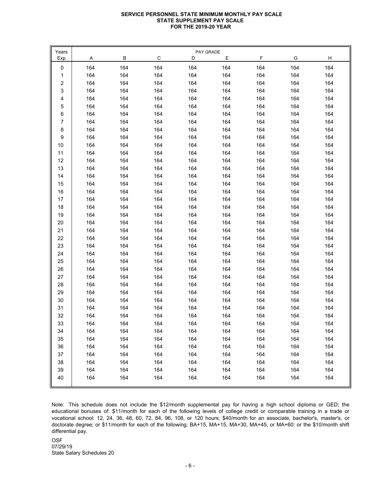#### **SERVICE PERSONNEL STATE MINIMUM MONTHLY PAY SCALE STATE SUPPLEMENT PAY SCALE FOR THE 2019-20 YEAR**

| Years  |     |     |     | PAY GRADE |     |     |     |     |
|--------|-----|-----|-----|-----------|-----|-----|-----|-----|
| Exp.   | A   | В   | C   | D         | Е   | F   | G   | H   |
| 0      | 164 | 164 | 164 | 164       | 164 | 164 | 164 | 164 |
| 1      | 164 | 164 | 164 | 164       | 164 | 164 | 164 | 164 |
| 2      | 164 | 164 | 164 | 164       | 164 | 164 | 164 | 164 |
| 3      | 164 | 164 | 164 | 164       | 164 | 164 | 164 | 164 |
| 4      | 164 | 164 | 164 | 164       | 164 | 164 | 164 | 164 |
| 5      | 164 | 164 | 164 | 164       | 164 | 164 | 164 | 164 |
| 6      | 164 | 164 | 164 | 164       | 164 | 164 | 164 | 164 |
| 7      | 164 | 164 | 164 | 164       | 164 | 164 | 164 | 164 |
| 8      | 164 | 164 | 164 | 164       | 164 | 164 | 164 | 164 |
| 9      | 164 | 164 | 164 | 164       | 164 | 164 | 164 | 164 |
| 10     | 164 | 164 | 164 | 164       | 164 | 164 | 164 | 164 |
| 11     | 164 | 164 | 164 | 164       | 164 | 164 | 164 | 164 |
| 12     | 164 | 164 | 164 | 164       | 164 | 164 | 164 | 164 |
| 13     | 164 | 164 | 164 | 164       | 164 | 164 | 164 | 164 |
| 14     | 164 | 164 | 164 | 164       | 164 | 164 | 164 | 164 |
| 15     | 164 | 164 | 164 | 164       | 164 | 164 | 164 | 164 |
| 16     | 164 | 164 | 164 | 164       | 164 | 164 | 164 | 164 |
| 17     | 164 | 164 | 164 | 164       | 164 | 164 | 164 | 164 |
| 18     | 164 | 164 | 164 | 164       | 164 | 164 | 164 | 164 |
| 19     | 164 | 164 | 164 | 164       | 164 | 164 | 164 | 164 |
| 20     | 164 | 164 | 164 | 164       | 164 | 164 | 164 | 164 |
| 21     | 164 | 164 | 164 | 164       | 164 | 164 | 164 | 164 |
| 22     | 164 | 164 | 164 | 164       | 164 | 164 | 164 | 164 |
| 23     | 164 | 164 | 164 | 164       | 164 | 164 | 164 | 164 |
| 24     | 164 | 164 | 164 | 164       | 164 | 164 | 164 | 164 |
| 25     | 164 | 164 | 164 | 164       | 164 | 164 | 164 | 164 |
| 26     | 164 | 164 | 164 | 164       | 164 | 164 | 164 | 164 |
| 27     | 164 | 164 | 164 | 164       | 164 | 164 | 164 | 164 |
| 28     | 164 | 164 | 164 | 164       | 164 | 164 | 164 | 164 |
| 29     | 164 | 164 | 164 | 164       | 164 | 164 | 164 | 164 |
| 30     | 164 | 164 | 164 | 164       | 164 | 164 | 164 | 164 |
| 31     | 164 | 164 | 164 | 164       | 164 | 164 | 164 | 164 |
| 32     | 164 | 164 | 164 | 164       | 164 | 164 | 164 | 164 |
| $33\,$ | 164 | 164 | 164 | 164       | 164 | 164 | 164 | 164 |
| 34     | 164 | 164 | 164 | 164       | 164 | 164 | 164 | 164 |
| 35     | 164 | 164 | 164 | 164       | 164 | 164 | 164 | 164 |
| 36     | 164 | 164 | 164 | 164       | 164 | 164 | 164 | 164 |
| 37     | 164 | 164 | 164 | 164       | 164 | 164 | 164 | 164 |
| 38     | 164 | 164 | 164 | 164       | 164 | 164 | 164 | 164 |
| 39     | 164 | 164 | 164 | 164       | 164 | 164 | 164 | 164 |
| 40     | 164 | 164 | 164 | 164       | 164 | 164 | 164 | 164 |
|        |     |     |     |           |     |     |     |     |

Note: This schedule does not include the \$12/month supplemental pay for having a high school diploma or GED; the educational bonuses of: \$11/month for each of the following levels of college credit or comparable training in a trade or vocational school: 12, 24, 36, 48, 60, 72, 84, 96, 108, or 120 hours; \$40/month for an associate, bachelor's, master's, or doctorate degree; or \$11/month for each of the following: BA+15, MA+15, MA+30, MA+45, or MA+60: or the \$10/month shift differential pay.

OSF State Salary Schedules 20 07/29/19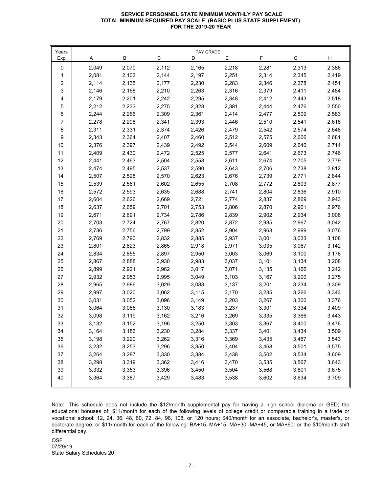## **SERVICE PERSONNEL STATE MINIMUM MONTHLY PAY SCALE TOTAL MINIMUM REQUIRED PAY SCALE (BASIC PLUS STATE SUPPLEMENT) FOR THE 2019-20 YEAR**

| Years            |       |       |       | PAY GRADE |       |       |       |       |
|------------------|-------|-------|-------|-----------|-------|-------|-------|-------|
| Exp.             | A     | В     | C     | D         | Е     | F     | G     | H     |
| 0                | 2,049 | 2,070 | 2,112 | 2,165     | 2,218 | 2,281 | 2,313 | 2,386 |
| 1                | 2,081 | 2,103 | 2,144 | 2,197     | 2,251 | 2,314 | 2,345 | 2,419 |
| $\sqrt{2}$       | 2,114 | 2,135 | 2,177 | 2,230     | 2,283 | 2,346 | 2,378 | 2,451 |
| 3                | 2,146 | 2,168 | 2,210 | 2,263     | 2,316 | 2,379 | 2,411 | 2,484 |
| 4                | 2,179 | 2,201 | 2,242 | 2,295     | 2,348 | 2,412 | 2,443 | 2,518 |
| 5                | 2,212 | 2,233 | 2,275 | 2,328     | 2,381 | 2,444 | 2,476 | 2,550 |
| $\,6\,$          | 2,244 | 2,266 | 2,309 | 2,361     | 2,414 | 2,477 | 2,509 | 2,583 |
| $\overline{7}$   | 2,278 | 2,298 | 2,341 | 2,393     | 2,446 | 2,510 | 2,541 | 2,616 |
| $\,8\,$          | 2,311 | 2,331 | 2,374 | 2,426     | 2,479 | 2,542 | 2,574 | 2,648 |
| $\boldsymbol{9}$ | 2,343 | 2,364 | 2,407 | 2,460     | 2,512 | 2,575 | 2,606 | 2,681 |
| 10               | 2,376 | 2,397 | 2,439 | 2,492     | 2,544 | 2,609 | 2,640 | 2,714 |
| 11               | 2,409 | 2,430 | 2,472 | 2,525     | 2,577 | 2,641 | 2,673 | 2,746 |
| 12               | 2,441 | 2,463 | 2,504 | 2,558     | 2,611 | 2,674 | 2,705 | 2,779 |
| 13               | 2,474 | 2,495 | 2,537 | 2,590     | 2,643 | 2,706 | 2,738 | 2,812 |
| 14               | 2,507 | 2,528 | 2,570 | 2,623     | 2,676 | 2,739 | 2,771 | 2,844 |
| 15               | 2,539 | 2,561 | 2,602 | 2,655     | 2,708 | 2,772 | 2,803 | 2,877 |
| 16               | 2,572 | 2,593 | 2,635 | 2,688     | 2,741 | 2,804 | 2,836 | 2,910 |
| 17               | 2,604 | 2,626 | 2,669 | 2,721     | 2,774 | 2,837 | 2,869 | 2,943 |
| 18               | 2,637 | 2,659 | 2,701 | 2,753     | 2,806 | 2,870 | 2,901 | 2,976 |
| 19               | 2,671 | 2,691 | 2,734 | 2,786     | 2,839 | 2,902 | 2,934 | 3,008 |
| 20               | 2,703 | 2,724 | 2,767 | 2,820     | 2,872 | 2,935 | 2,967 | 3,042 |
| 21               | 2,736 | 2,756 | 2,799 | 2,852     | 2,904 | 2,968 | 2,999 | 3,076 |
| 22               | 2,769 | 2,790 | 2,832 | 2,885     | 2,937 | 3,001 | 3,033 | 3,108 |
| 23               | 2,801 | 2,823 | 2,865 | 2,918     | 2,971 | 3,035 | 3,067 | 3,142 |
| 24               | 2,834 | 2,855 | 2,897 | 2,950     | 3,003 | 3,069 | 3,100 | 3,176 |
| 25               | 2,867 | 2,888 | 2,930 | 2,983     | 3,037 | 3,101 | 3,134 | 3,208 |
| 26               | 2,899 | 2,921 | 2,962 | 3,017     | 3,071 | 3,135 | 3,166 | 3,242 |
| 27               | 2,932 | 2,953 | 2,995 | 3,049     | 3,103 | 3,167 | 3,200 | 3,275 |
| 28               | 2,965 | 2,986 | 3,029 | 3,083     | 3,137 | 3,201 | 3,234 | 3,309 |
| 29               | 2,997 | 3,020 | 3,062 | 3,115     | 3,170 | 3,235 | 3,266 | 3,343 |
| 30               | 3,031 | 3,052 | 3,096 | 3,149     | 3,203 | 3,267 | 3,300 | 3,376 |
| 31               | 3,064 | 3,086 | 3,130 | 3,183     | 3,237 | 3,301 | 3,334 | 3,409 |
| 32               | 3,098 | 3,119 | 3,162 | 3,216     | 3,269 | 3,335 | 3,366 | 3,443 |
| 33               | 3,132 | 3,152 | 3,196 | 3,250     | 3,303 | 3,367 | 3,400 | 3,476 |
| 34               | 3,164 | 3,186 | 3,230 | 3,284     | 3,337 | 3,401 | 3,434 | 3,509 |
| 35               | 3,198 | 3,220 | 3,262 | 3,316     | 3,369 | 3,435 | 3,467 | 3,543 |
| $36\,$           | 3,232 | 3,253 | 3,296 | 3,350     | 3,404 | 3,468 | 3,501 | 3,575 |
| 37               | 3,264 | 3,287 | 3,330 | 3,384     | 3,438 | 3,502 | 3,534 | 3,609 |
| $38\,$           | 3,298 | 3,319 | 3,362 | 3,416     | 3,470 | 3,535 | 3,567 | 3,643 |
| 39               | 3,332 | 3,353 | 3,396 | 3,450     | 3,504 | 3,568 | 3,601 | 3,675 |
| 40               | 3,364 | 3,387 | 3,429 | 3,483     | 3,538 | 3,602 | 3,634 | 3,709 |
|                  |       |       |       |           |       |       |       |       |

Note: This schedule does not include the \$12/month supplemental pay for having a high school diploma or GED; the educational bonuses of: \$11/month for each of the following levels of college credit or comparable training in a trade or vocational school: 12, 24, 36, 48, 60, 72, 84, 96, 108, or 120 hours; \$40/month for an associate, bachelor's, master's, or doctorate degree; or \$11/month for each of the following: BA+15, MA+15, MA+30, MA+45, or MA+60: or the \$10/month shift differential pay.

OSF State Salary Schedules 20 07/29/19